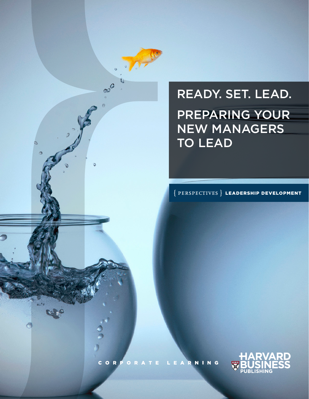READY. SET. LEAD. PREPARING YOUR NEW MANAGERS TO LEAD

{ perspectives } LEADERSHIP DEVELOPMENT

CORPORATE LEARNING

 $\mathbf{O}$ 

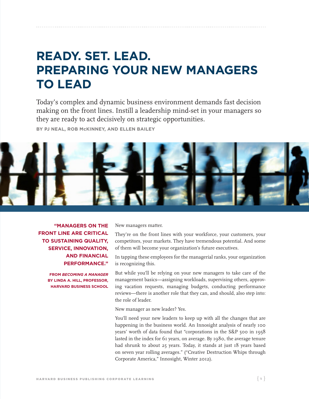# **READY. SET. LEAD. PREPARING YOUR NEW MANAGERS TO LEAD**

Today's complex and dynamic business environment demands fast decision making on the front lines. Instill a leadership mind-set in your managers so they are ready to act decisively on strategic opportunities.

**BY PJ NEAL, ROB McKINNEY, AND ELLEN BAILEY**



**"MANAGERS ON THE FRONT LINE ARE CRITICAL TO SUSTAINING QUALITY, SERVICE, INNOVATION, AND FINANCIAL PERFORMANCE."**

> **FROM** *BECOMING A MANAGER*  **BY LINDA A. HILL, PROFESSOR, HARVARD BUSINESS SCHOOL**

New managers matter.

They're on the front lines with your workforce, your customers, your competitors, your markets. They have tremendous potential. And some of them will become your organization's future executives.

In tapping these employees for the managerial ranks, your organization is recognizing this.

But while you'll be relying on your new managers to take care of the management basics—assigning workloads, supervising others, approving vacation requests, managing budgets, conducting performance reviews—there is another role that they can, and should, also step into: the role of leader.

New manager as new leader? Yes.

You'll need your new leaders to keep up with all the changes that are happening in the business world. An Innosight analysis of nearly 100 years' worth of data found that "corporations in the S&P 500 in 1958 lasted in the index for 61 years, on average. By 1980, the average tenure had shrunk to about 25 years. Today, it stands at just 18 years based on seven year rolling averages." ("Creative Destruction Whips through Corporate America," Innosight, Winter 2012).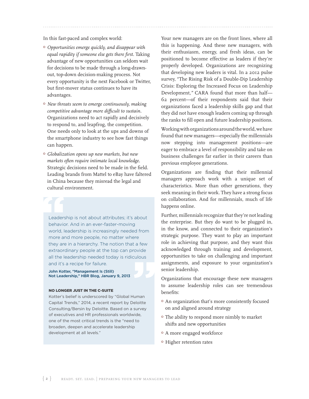In this fast-paced and complex world:

- <sup>o</sup> *Opportunities emerge quickly, and disappear with equal rapidity if someone else gets there first.* Taking advantage of new opportunities can seldom wait for decisions to be made through a long-drawnout, top-down decision-making process. Not every opportunity is the next Facebook or Twitter, but first-mover status continues to have its advantages.
- <sup>o</sup> *New threats seem to emerge continuously, making competitive advantage more difficult to sustain.* Organizations need to act rapidly and decisively to respond to, and leapfrog, the competition. One needs only to look at the ups and downs of the smartphone industry to see how fast things can happen.
- <sup>o</sup> *Globalization opens up new markets, but new markets often require intimate local knowledge.* Strategic decisions need to be made in the field. Leading brands from Mattel to eBay have faltered in China because they misread the legal and cultural environment.

Leadership is not about attributes; it's about behavior. And in an ever-faster-moving world, leadership is increasingly needed from more and more people, no matter where they are in a hierarchy. The notion that a few extraordinary people at the top can provide all the leadership needed today is ridiculous and it's a recipe for failure.

John Kotter, "Management Is (Still) Not Leadership," [HBR Blog](http://blogs.hbr.org/2013/01/management-is-still-not-leadership), January 9, 2013

#### NO LONGER JUST IN THE C-SUITE

Kotter's belief is underscored by "Global Human Capital Trends," 2014, a recent report by Deloitte Consulting/Bersin by Deloitte. Based on a survey of executives and HR professionals worldwide, one of the most critical trends is the "need to broaden, deepen and accelerate leadership development at all levels."

Your new managers are on the front lines, where all this is happening. And these new managers, with their enthusiasm, energy, and fresh ideas, can be positioned to become effective as leaders if they're properly developed. Organizations are recognizing that developing new leaders is vital. In a 2012 pulse survey, "The Rising Risk of a Double-Dip Leadership Crisis: Exploring the Increased Focus on Leadership Development*,"* CARA found that more than half— 62 percent—of their respondents said that their organizations faced a leadership skills gap and that they did not have enough leaders coming up through the ranks to fill open and future leadership positions.

Working with organizations around the world, we have found that new managers—especially the millennials now stepping into management positions—are eager to embrace a level of responsibility and take on business challenges far earlier in their careers than previous employee generations.

Organizations are finding that their millennial managers approach work with a unique set of characteristics. More than other generations, they seek meaning in their work. They have a strong focus on collaboration. And for millennials, much of life happens online.

Further, millennials recognize that they're not leading the enterprise. But they do want to be plugged in, in the know, and connected to their organization's strategic purpose. They want to play an important role in achieving that purpose, and they want this acknowledged through training and development, opportunities to take on challenging and important assignments, and exposure to your organization's senior leadership.

Organizations that encourage these new managers to assume leadership roles can see tremendous benefits:

- <sup>o</sup> An organization that's more consistently focused on and aligned around strategy
- <sup>o</sup> The ability to respond more nimbly to market shifts and new opportunities
- <sup>o</sup> A more engaged workforce
- <sup>o</sup> Higher retention rates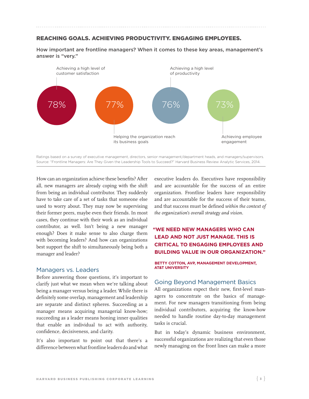### REACHING GOALS. ACHIEVING PRODUCTIVITY. ENGAGING EMPLOYEES.



How important are frontline managers? When it comes to these key areas, management's answer is "very."

Ratings based on a survey of executive management, directors, senior management/department heads, and managers/supervisors. Source: "Frontline Managers: Are They Given the Leadership Tools to Succeed?" Harvard Business Review Analytic Services, 2014.

How can an organization achieve these benefits? After all, new managers are already coping with the shift from being an individual contributor. They suddenly have to take care of a set of tasks that someone else used to worry about. They may now be supervising their former peers, maybe even their friends. In most cases, they continue with their work as an individual contributor, as well. Isn't being a new manager enough? Does it make sense to also charge them with becoming leaders? And how can organizations best support the shift to simultaneously being both a manager and leader?

#### Managers vs. Leaders

Before answering those questions, it's important to clarify just what we mean when we're talking about being a manager versus being a leader. While there is definitely some overlap, management and leadership are separate and distinct spheres. Succeeding as a manager means acquiring managerial know-how; succeeding as a leader means honing inner qualities that enable an individual to act with authority, confidence, decisiveness, and clarity.

It's also important to point out that there's a difference between what frontline leaders do and what executive leaders do. Executives have responsibility and are accountable for the success of an entire organization. Frontline leaders have responsibility and are accountable for the success of their teams, and that success must be defined *within the context of the organization's overall strategy and vision.*

# **"WE NEED NEW MANAGERS WHO CAN LEAD AND NOT JUST MANAGE. THIS IS CRITICAL TO ENGAGING EMPLOYEES AND BUILDING VALUE IN OUR ORGANIZATION."**

**BETTY COTTON, AVP, MANAGEMENT DEVELOPMENT, AT&T UNIVERSITY**

### Going Beyond Management Basics

All organizations expect their new, first-level managers to concentrate on the basics of management. For new managers transitioning from being individual contributors, acquiring the know-how needed to handle routine day-to-day management tasks is crucial.

But in today's dynamic business environment, successful organizations are realizing that even those newly managing on the front lines can make a more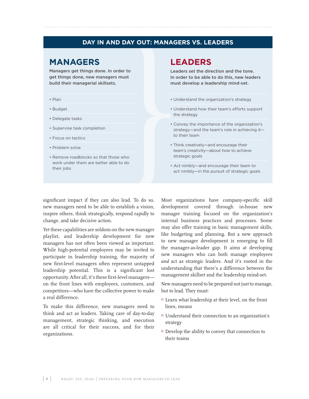# **DAY IN AND DAY OUT: MANAGERS VS. LEADERS**

# **MANAGERS**

Managers get things done. In order to get things done, new managers must build their managerial skillsets.

- Plan
- Budget
- Delegate tasks
- Supervise task completion
- Focus on tactics
- Problem solve
- Remove roadblocks so that those who work under them are better able to do their jobs

# **LEADERS**

Leaders set the direction and the tone. In order to be able to do this, new leaders must develop a leadership mind-set.

- Understand the organization's strategy
- Understand how their team's efforts support the strategy
- Convey the importance of the organization's strategy—and the team's role in achieving it to their team
- Think creatively—and encourage their team's creativity—about how to achieve strategic goals
- Act nimbly—and encourage their team to act nimbly—in the pursuit of strategic goals

significant impact if they can also lead. To do so, new managers need to be able to establish a vision, inspire others, think strategically, respond rapidly to change, and take decisive action.

Yet these capabilities are seldom on the new manager playlist, and leadership development for new managers has not often been viewed as important. While high-potential employees may be invited to participate in leadership training, the majority of new first-level managers often represent untapped leadership potential. This is a significant lost opportunity. After all, it's these first-level managers on the front lines with employees, customers, and competitors—who have the collective power to make a real difference.

To make this difference, new managers need to think and act as leaders. Taking care of day-to-day management, strategic thinking, and execution are all critical for their success, and for their organizations.

Most organizations have company-specific skill development covered through in-house new manager training focused on the organization's internal business practices and processes. Some may also offer training in basic management skills, like budgeting and planning. But a new approach to new manager development is emerging to fill the manager-as-leader gap. It aims at developing new managers who can both manage employees *and* act as strategic leaders. And it's rooted in the understanding that there's a difference between the management skillset and the leadership mind-set.

New managers need to be prepared not just to manage, but to lead. They must:

- <sup>o</sup> Learn what leadership at their level, on the front lines, means
- <sup>o</sup> Understand their connection to an organization's strategy
- <sup>o</sup> Develop the ability to convey that connection to their teams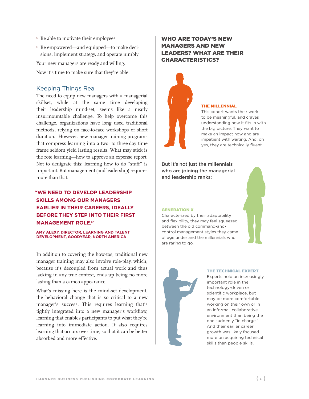- <sup>o</sup> Be able to motivate their employees
- <sup>o</sup> Be empowered—and equipped—to make decisions, implement strategy, and operate nimbly

Your new managers are ready and willing.

Now it's time to make sure that they're able.

## Keeping Things Real

The need to equip new managers with a managerial skillset, while at the same time developing their leadership mind-set, seems like a nearly insurmountable challenge. To help overcome this challenge, organizations have long used traditional methods, relying on face-to-face workshops of short duration. However, new manager training programs that compress learning into a two- to three-day time frame seldom yield lasting results. What may stick is the rote learning—how to approve an expense report. Not to denigrate this: learning how to do "stuff" is important. But management (and leadership) requires more than that.

# **"WE NEED TO DEVELOP LEADERSHIP SKILLS AMONG OUR MANAGERS EARLIER IN THEIR CAREERS, IDEALLY BEFORE THEY STEP INTO THEIR FIRST MANAGEMENT ROLE."**

**AMY ALEXY, DIRECTOR, LEARNING AND TALENT DEVELOPMENT, GOODYEAR, NORTH AMERICA**

In addition to covering the how-tos, traditional new manager training may also involve role-play, which, because it's decoupled from actual work and thus lacking in any true context, ends up being no more lasting than a cameo appearance.

What's missing here is the mind-set development, the behavioral change that is so critical to a new manager's success. This requires learning that's tightly integrated into a new manager's workflow, learning that enables participants to put what they're learning into immediate action. It also requires learning that occurs over time, so that it can be better absorbed and more effective.

# WHO ARE TODAY'S NEW MANAGERS AND NEW LEADERS? WHAT ARE THEIR CHARACTERISTICS?



#### THE MILLENNIAL

This cohort wants their work to be meaningful, and craves understanding how it fits in with the big picture. They want to make an impact now and are impatient with waiting. And, oh yes, they are technically fluent.

But it's not just the millennials who are joining the managerial and leadership ranks:

#### GENERATION X

Characterized by their adaptability and flexibility, they may feel squeezed between the old command-andcontrol management styles they came of age under and the millennials who are raring to go.



#### THE TECHNICAL EXPERT

Experts hold an increasingly important role in the technology-driven or scientific workplace, but may be more comfortable working on their own or in an informal, collaborative environment than being the one suddenly "in charge." And their earlier career growth was likely focused more on acquiring technical skills than people skills.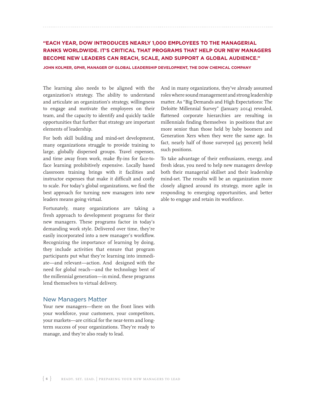# **"EACH YEAR, DOW INTRODUCES NEARLY 1,000 EMPLOYEES TO THE MANAGERIAL RANKS WORLDWIDE. IT'S CRITICAL THAT PROGRAMS THAT HELP OUR NEW MANAGERS BECOME NEW LEADERS CAN REACH, SCALE, AND SUPPORT A GLOBAL AUDIENCE."**

**JOHN KOLMER, GPHR, MANAGER OF GLOBAL LEADERSHIP DEVELOPMENT, THE DOW CHEMICAL COMPANY**

The learning also needs to be aligned with the organization's strategy. The ability to understand and articulate an organization's strategy, willingness to engage and motivate the employees on their team, and the capacity to identify and quickly tackle opportunities that further that strategy are important elements of leadership.

For both skill building and mind-set development, many organizations struggle to provide training to large, globally dispersed groups. Travel expenses, and time away from work, make fly-ins for face-toface learning prohibitively expensive. Locally based classroom training brings with it facilities and instructor expenses that make it difficult and costly to scale. For today's global organizations, we find the best approach for turning new managers into new leaders means going virtual.

Fortunately, many organizations are taking a fresh approach to development programs for their new managers. These programs factor in today's demanding work style. Delivered over time, they're easily incorporated into a new manager's workflow. Recognizing the importance of learning by doing, they include activities that ensure that program participants put what they're learning into immediate—and relevant—action. And designed with the need for global reach—and the technology bent of the millennial generation—in mind, these programs lend themselves to virtual delivery.

#### New Managers Matter

Your new managers—there on the front lines with your workforce, your customers, your competitors, your markets—are critical for the near-term and longterm success of your organizations. They're ready to manage, and they're also ready to lead.

And in many organizations, they've already assumed roles where sound management and strong leadership matter. As "Big Demands and High Expectations: The Deloitte Millennial Survey" (January 2014) revealed, flattened corporate hierarchies are resulting in millennials finding themselves in positions that are more senior than those held by baby boomers and Generation Xers when they were the same age. In fact, nearly half of those surveyed (45 percent) held such positions.

To take advantage of their enthusiasm, energy, and fresh ideas, you need to help new managers develop both their managerial skillset and their leadership mind-set. The results will be an organization more closely aligned around its strategy, more agile in responding to emerging opportunities, and better able to engage and retain its workforce.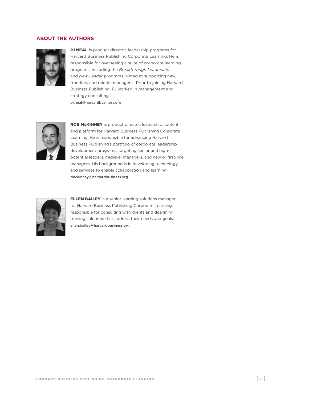### **ABOUT THE AUTHORS**



PJ NEAL is product director, leadership programs for Harvard Business Publishing Corporate Learning. He is responsible for overseeing a suite of corporate learning programs, including the *Breakthrough Leadership*  and *New Leader* programs, aimed at supporting new, frontline, and middle managers. Prior to joining Harvard Business Publishing, PJ worked in management and strategy consulting.

pj.neal@harvardbusiness.org



ROB McKINNEY is product director, leadership content and platform for Harvard Business Publishing Corporate Learning. He is responsible for advancing Harvard Business Publishing's portfolio of corporate leadership development programs, targeting senior and highpotential leaders, midlevel managers, and new or first-line managers. His background is in developing technology and services to enable collaboration and learning. rmckinney@harvardbusiness.org



**ELLEN BAILEY** is a senior learning solutions manager for Harvard Business Publishing Corporate Learning, responsible for consulting with clients and designing training solutions that address their needs and goals. ellen.bailey@harvardbusiness.org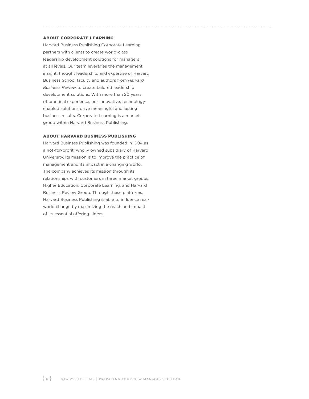#### ABOUT CORPORATE LEARNING

Harvard Business Publishing Corporate Learning partners with clients to create world-class leadership development solutions for managers at all levels. Our team leverages the management insight, thought leadership, and expertise of Harvard Business School faculty and authors from *Harvard Business Review* to create tailored leadership development solutions. With more than 20 years of practical experience, our innovative, technologyenabled solutions drive meaningful and lasting business results. Corporate Learning is a market group within Harvard Business Publishing.

#### ABOUT HARVARD BUSINESS PUBLISHING

Harvard Business Publishing was founded in 1994 as a not-for-profit, wholly owned subsidiary of Harvard University. Its mission is to improve the practice of management and its impact in a changing world. The company achieves its mission through its relationships with customers in three market groups: Higher Education, Corporate Learning, and Harvard Business Review Group. Through these platforms, Harvard Business Publishing is able to influence realworld change by maximizing the reach and impact of its essential offering—ideas.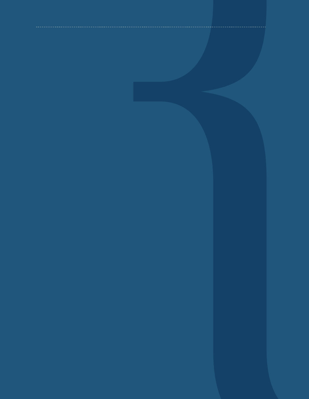